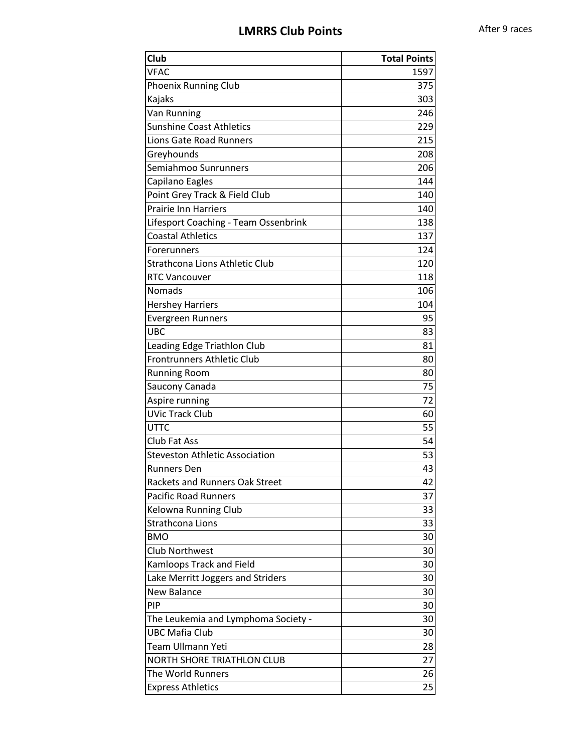## **LMRRS Club Points** After 9 races

| <b>Club</b>                           | <b>Total Points</b> |
|---------------------------------------|---------------------|
| <b>VFAC</b>                           | 1597                |
| Phoenix Running Club                  | 375                 |
| Kajaks                                | 303                 |
| Van Running                           | 246                 |
| <b>Sunshine Coast Athletics</b>       | 229                 |
| <b>Lions Gate Road Runners</b>        | 215                 |
| Greyhounds                            | 208                 |
| Semiahmoo Sunrunners                  | 206                 |
| Capilano Eagles                       | 144                 |
| Point Grey Track & Field Club         | 140                 |
| <b>Prairie Inn Harriers</b>           | 140                 |
| Lifesport Coaching - Team Ossenbrink  | 138                 |
| <b>Coastal Athletics</b>              | 137                 |
| Forerunners                           | 124                 |
| Strathcona Lions Athletic Club        | 120                 |
| <b>RTC Vancouver</b>                  | 118                 |
| Nomads                                | 106                 |
| <b>Hershey Harriers</b>               | 104                 |
| Evergreen Runners                     | 95                  |
| UBC                                   | 83                  |
| Leading Edge Triathlon Club           | 81                  |
| <b>Frontrunners Athletic Club</b>     | 80                  |
| <b>Running Room</b>                   | 80                  |
| Saucony Canada                        | 75                  |
| Aspire running                        | 72                  |
| <b>UVic Track Club</b>                | 60                  |
| <b>UTTC</b>                           | 55                  |
| <b>Club Fat Ass</b>                   | 54                  |
| <b>Steveston Athletic Association</b> | 53                  |
| <b>Runners Den</b>                    | 43                  |
| Rackets and Runners Oak Street        | 42                  |
| <b>Pacific Road Runners</b>           | 37                  |
| Kelowna Running Club                  | 33                  |
| Strathcona Lions                      | 33                  |
| <b>BMO</b>                            | 30                  |
| <b>Club Northwest</b>                 | 30                  |
| <b>Kamloops Track and Field</b>       | 30                  |
| Lake Merritt Joggers and Striders     | 30                  |
| New Balance                           | 30                  |
| PIP                                   | 30                  |
| The Leukemia and Lymphoma Society -   | 30                  |
| <b>UBC Mafia Club</b>                 | 30                  |
| <b>Team Ullmann Yeti</b>              | 28                  |
| <b>NORTH SHORE TRIATHLON CLUB</b>     | 27                  |
| The World Runners                     | 26                  |
| <b>Express Athletics</b>              | 25                  |
|                                       |                     |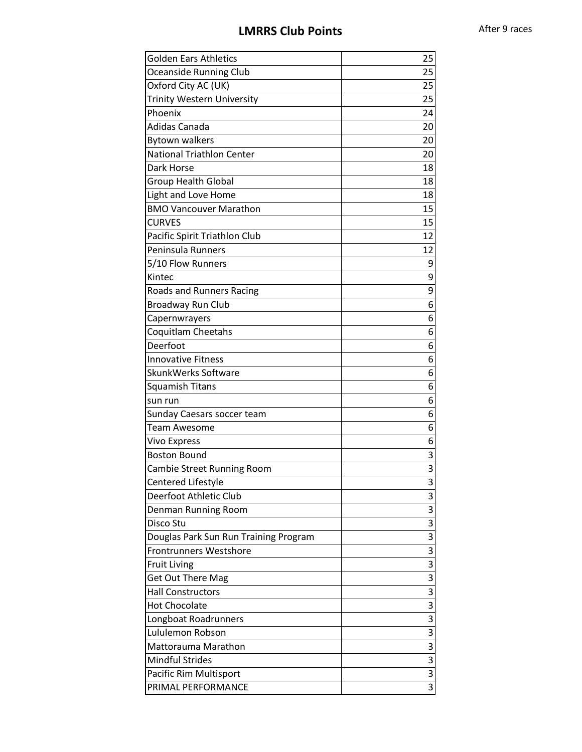## **LMRRS Club Points** After 9 races

| <b>Oceanside Running Club</b><br>25<br>25<br>Oxford City AC (UK)<br><b>Trinity Western University</b><br>25<br>Phoenix<br>24<br>Adidas Canada<br>20<br><b>Bytown walkers</b><br>20<br><b>National Triathlon Center</b><br>20<br>Dark Horse<br>18<br><b>Group Health Global</b><br>18<br>Light and Love Home<br>18<br><b>BMO Vancouver Marathon</b><br>15<br>15<br><b>CURVES</b><br>Pacific Spirit Triathlon Club<br>12<br>Peninsula Runners<br>12<br>5/10 Flow Runners<br>9<br>9<br>Kintec<br>9<br>Roads and Runners Racing<br><b>Broadway Run Club</b><br>6<br>Capernwrayers<br>6<br>Coquitlam Cheetahs<br>6<br>Deerfoot<br>6<br><b>Innovative Fitness</b><br>6<br>SkunkWerks Software<br>6<br>Squamish Titans<br>6<br>6<br>sun run<br>Sunday Caesars soccer team<br>6<br><b>Team Awesome</b><br>6<br><b>Vivo Express</b><br>6<br><b>Boston Bound</b><br>3<br>3<br>Cambie Street Running Room<br>Centered Lifestyle<br>3<br>Deerfoot Athletic Club<br>3<br>3<br>Denman Running Room<br>3<br>Disco Stu<br>3<br>Douglas Park Sun Run Training Program<br>Frontrunners Westshore<br>3<br>3<br><b>Fruit Living</b><br>3<br><b>Get Out There Mag</b><br>3<br><b>Hall Constructors</b><br><b>Hot Chocolate</b><br>3<br>3<br>Longboat Roadrunners<br>Lululemon Robson<br>3<br>3<br>Mattorauma Marathon<br>3<br><b>Mindful Strides</b><br>3<br>Pacific Rim Multisport | <b>Golden Ears Athletics</b> | 25 |
|----------------------------------------------------------------------------------------------------------------------------------------------------------------------------------------------------------------------------------------------------------------------------------------------------------------------------------------------------------------------------------------------------------------------------------------------------------------------------------------------------------------------------------------------------------------------------------------------------------------------------------------------------------------------------------------------------------------------------------------------------------------------------------------------------------------------------------------------------------------------------------------------------------------------------------------------------------------------------------------------------------------------------------------------------------------------------------------------------------------------------------------------------------------------------------------------------------------------------------------------------------------------------------------------------------------------------------------------------------------|------------------------------|----|
|                                                                                                                                                                                                                                                                                                                                                                                                                                                                                                                                                                                                                                                                                                                                                                                                                                                                                                                                                                                                                                                                                                                                                                                                                                                                                                                                                                |                              |    |
|                                                                                                                                                                                                                                                                                                                                                                                                                                                                                                                                                                                                                                                                                                                                                                                                                                                                                                                                                                                                                                                                                                                                                                                                                                                                                                                                                                |                              |    |
|                                                                                                                                                                                                                                                                                                                                                                                                                                                                                                                                                                                                                                                                                                                                                                                                                                                                                                                                                                                                                                                                                                                                                                                                                                                                                                                                                                |                              |    |
|                                                                                                                                                                                                                                                                                                                                                                                                                                                                                                                                                                                                                                                                                                                                                                                                                                                                                                                                                                                                                                                                                                                                                                                                                                                                                                                                                                |                              |    |
|                                                                                                                                                                                                                                                                                                                                                                                                                                                                                                                                                                                                                                                                                                                                                                                                                                                                                                                                                                                                                                                                                                                                                                                                                                                                                                                                                                |                              |    |
|                                                                                                                                                                                                                                                                                                                                                                                                                                                                                                                                                                                                                                                                                                                                                                                                                                                                                                                                                                                                                                                                                                                                                                                                                                                                                                                                                                |                              |    |
|                                                                                                                                                                                                                                                                                                                                                                                                                                                                                                                                                                                                                                                                                                                                                                                                                                                                                                                                                                                                                                                                                                                                                                                                                                                                                                                                                                |                              |    |
|                                                                                                                                                                                                                                                                                                                                                                                                                                                                                                                                                                                                                                                                                                                                                                                                                                                                                                                                                                                                                                                                                                                                                                                                                                                                                                                                                                |                              |    |
|                                                                                                                                                                                                                                                                                                                                                                                                                                                                                                                                                                                                                                                                                                                                                                                                                                                                                                                                                                                                                                                                                                                                                                                                                                                                                                                                                                |                              |    |
|                                                                                                                                                                                                                                                                                                                                                                                                                                                                                                                                                                                                                                                                                                                                                                                                                                                                                                                                                                                                                                                                                                                                                                                                                                                                                                                                                                |                              |    |
|                                                                                                                                                                                                                                                                                                                                                                                                                                                                                                                                                                                                                                                                                                                                                                                                                                                                                                                                                                                                                                                                                                                                                                                                                                                                                                                                                                |                              |    |
|                                                                                                                                                                                                                                                                                                                                                                                                                                                                                                                                                                                                                                                                                                                                                                                                                                                                                                                                                                                                                                                                                                                                                                                                                                                                                                                                                                |                              |    |
|                                                                                                                                                                                                                                                                                                                                                                                                                                                                                                                                                                                                                                                                                                                                                                                                                                                                                                                                                                                                                                                                                                                                                                                                                                                                                                                                                                |                              |    |
|                                                                                                                                                                                                                                                                                                                                                                                                                                                                                                                                                                                                                                                                                                                                                                                                                                                                                                                                                                                                                                                                                                                                                                                                                                                                                                                                                                |                              |    |
|                                                                                                                                                                                                                                                                                                                                                                                                                                                                                                                                                                                                                                                                                                                                                                                                                                                                                                                                                                                                                                                                                                                                                                                                                                                                                                                                                                |                              |    |
|                                                                                                                                                                                                                                                                                                                                                                                                                                                                                                                                                                                                                                                                                                                                                                                                                                                                                                                                                                                                                                                                                                                                                                                                                                                                                                                                                                |                              |    |
|                                                                                                                                                                                                                                                                                                                                                                                                                                                                                                                                                                                                                                                                                                                                                                                                                                                                                                                                                                                                                                                                                                                                                                                                                                                                                                                                                                |                              |    |
|                                                                                                                                                                                                                                                                                                                                                                                                                                                                                                                                                                                                                                                                                                                                                                                                                                                                                                                                                                                                                                                                                                                                                                                                                                                                                                                                                                |                              |    |
|                                                                                                                                                                                                                                                                                                                                                                                                                                                                                                                                                                                                                                                                                                                                                                                                                                                                                                                                                                                                                                                                                                                                                                                                                                                                                                                                                                |                              |    |
|                                                                                                                                                                                                                                                                                                                                                                                                                                                                                                                                                                                                                                                                                                                                                                                                                                                                                                                                                                                                                                                                                                                                                                                                                                                                                                                                                                |                              |    |
|                                                                                                                                                                                                                                                                                                                                                                                                                                                                                                                                                                                                                                                                                                                                                                                                                                                                                                                                                                                                                                                                                                                                                                                                                                                                                                                                                                |                              |    |
|                                                                                                                                                                                                                                                                                                                                                                                                                                                                                                                                                                                                                                                                                                                                                                                                                                                                                                                                                                                                                                                                                                                                                                                                                                                                                                                                                                |                              |    |
|                                                                                                                                                                                                                                                                                                                                                                                                                                                                                                                                                                                                                                                                                                                                                                                                                                                                                                                                                                                                                                                                                                                                                                                                                                                                                                                                                                |                              |    |
|                                                                                                                                                                                                                                                                                                                                                                                                                                                                                                                                                                                                                                                                                                                                                                                                                                                                                                                                                                                                                                                                                                                                                                                                                                                                                                                                                                |                              |    |
|                                                                                                                                                                                                                                                                                                                                                                                                                                                                                                                                                                                                                                                                                                                                                                                                                                                                                                                                                                                                                                                                                                                                                                                                                                                                                                                                                                |                              |    |
|                                                                                                                                                                                                                                                                                                                                                                                                                                                                                                                                                                                                                                                                                                                                                                                                                                                                                                                                                                                                                                                                                                                                                                                                                                                                                                                                                                |                              |    |
|                                                                                                                                                                                                                                                                                                                                                                                                                                                                                                                                                                                                                                                                                                                                                                                                                                                                                                                                                                                                                                                                                                                                                                                                                                                                                                                                                                |                              |    |
|                                                                                                                                                                                                                                                                                                                                                                                                                                                                                                                                                                                                                                                                                                                                                                                                                                                                                                                                                                                                                                                                                                                                                                                                                                                                                                                                                                |                              |    |
|                                                                                                                                                                                                                                                                                                                                                                                                                                                                                                                                                                                                                                                                                                                                                                                                                                                                                                                                                                                                                                                                                                                                                                                                                                                                                                                                                                |                              |    |
|                                                                                                                                                                                                                                                                                                                                                                                                                                                                                                                                                                                                                                                                                                                                                                                                                                                                                                                                                                                                                                                                                                                                                                                                                                                                                                                                                                |                              |    |
|                                                                                                                                                                                                                                                                                                                                                                                                                                                                                                                                                                                                                                                                                                                                                                                                                                                                                                                                                                                                                                                                                                                                                                                                                                                                                                                                                                |                              |    |
|                                                                                                                                                                                                                                                                                                                                                                                                                                                                                                                                                                                                                                                                                                                                                                                                                                                                                                                                                                                                                                                                                                                                                                                                                                                                                                                                                                |                              |    |
|                                                                                                                                                                                                                                                                                                                                                                                                                                                                                                                                                                                                                                                                                                                                                                                                                                                                                                                                                                                                                                                                                                                                                                                                                                                                                                                                                                |                              |    |
|                                                                                                                                                                                                                                                                                                                                                                                                                                                                                                                                                                                                                                                                                                                                                                                                                                                                                                                                                                                                                                                                                                                                                                                                                                                                                                                                                                |                              |    |
|                                                                                                                                                                                                                                                                                                                                                                                                                                                                                                                                                                                                                                                                                                                                                                                                                                                                                                                                                                                                                                                                                                                                                                                                                                                                                                                                                                |                              |    |
|                                                                                                                                                                                                                                                                                                                                                                                                                                                                                                                                                                                                                                                                                                                                                                                                                                                                                                                                                                                                                                                                                                                                                                                                                                                                                                                                                                |                              |    |
|                                                                                                                                                                                                                                                                                                                                                                                                                                                                                                                                                                                                                                                                                                                                                                                                                                                                                                                                                                                                                                                                                                                                                                                                                                                                                                                                                                |                              |    |
|                                                                                                                                                                                                                                                                                                                                                                                                                                                                                                                                                                                                                                                                                                                                                                                                                                                                                                                                                                                                                                                                                                                                                                                                                                                                                                                                                                |                              |    |
|                                                                                                                                                                                                                                                                                                                                                                                                                                                                                                                                                                                                                                                                                                                                                                                                                                                                                                                                                                                                                                                                                                                                                                                                                                                                                                                                                                |                              |    |
|                                                                                                                                                                                                                                                                                                                                                                                                                                                                                                                                                                                                                                                                                                                                                                                                                                                                                                                                                                                                                                                                                                                                                                                                                                                                                                                                                                |                              |    |
|                                                                                                                                                                                                                                                                                                                                                                                                                                                                                                                                                                                                                                                                                                                                                                                                                                                                                                                                                                                                                                                                                                                                                                                                                                                                                                                                                                |                              |    |
|                                                                                                                                                                                                                                                                                                                                                                                                                                                                                                                                                                                                                                                                                                                                                                                                                                                                                                                                                                                                                                                                                                                                                                                                                                                                                                                                                                |                              |    |
|                                                                                                                                                                                                                                                                                                                                                                                                                                                                                                                                                                                                                                                                                                                                                                                                                                                                                                                                                                                                                                                                                                                                                                                                                                                                                                                                                                |                              |    |
|                                                                                                                                                                                                                                                                                                                                                                                                                                                                                                                                                                                                                                                                                                                                                                                                                                                                                                                                                                                                                                                                                                                                                                                                                                                                                                                                                                |                              |    |
|                                                                                                                                                                                                                                                                                                                                                                                                                                                                                                                                                                                                                                                                                                                                                                                                                                                                                                                                                                                                                                                                                                                                                                                                                                                                                                                                                                |                              |    |
|                                                                                                                                                                                                                                                                                                                                                                                                                                                                                                                                                                                                                                                                                                                                                                                                                                                                                                                                                                                                                                                                                                                                                                                                                                                                                                                                                                | PRIMAL PERFORMANCE           | 3  |